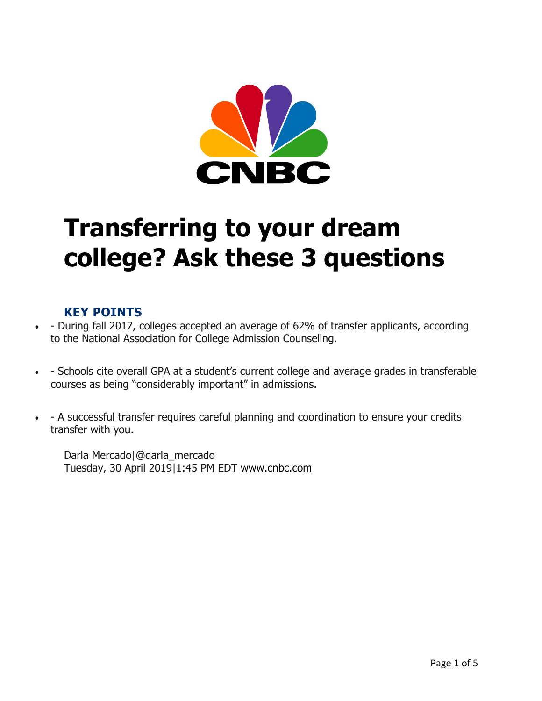

# **Transferring to your dream college? Ask these 3 questions**

#### **KEY POINTS**

- - During fall 2017, colleges accepted an average of 62% of transfer applicants, according to the National Association for College Admission Counseling.
- - Schools cite overall GPA at a student's current college and average grades in transferable courses as being "considerably important" in admissions.
- - A successful transfer requires careful planning and coordination to ensure your credits transfer with you.

Darla Mercado|@darla\_mercado Tuesday, 30 April 2019|1:45 PM EDT www.cnbc.com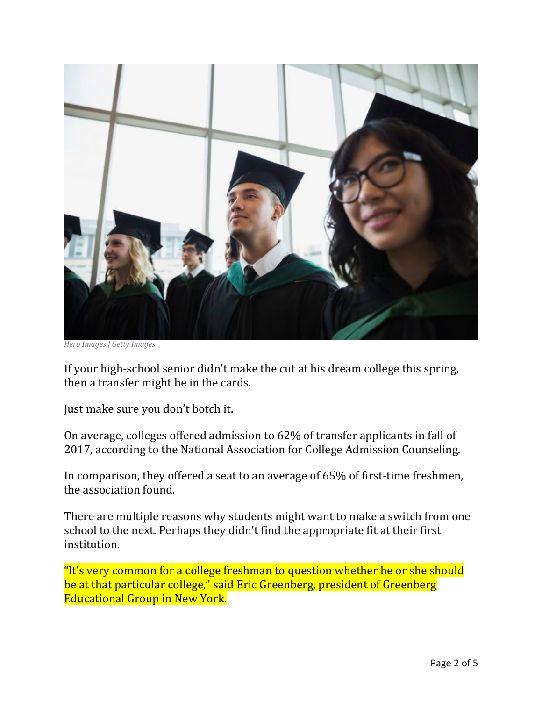

*Hero Images | Getty Images*

If your high-school senior didn't make the cut at his dream college this spring, then a transfer might be in the cards.

Just make sure you don't botch it.

On average, colleges offered admission to 62% of transfer applicants in fall of 2017, according to the National Association for College Admission Counseling.

In comparison, they offered a seat to an average of 65% of first-time freshmen, the association found.

There are multiple reasons why students might want to make a switch from one school to the next. Perhaps they didn't find the appropriate fit at their first institution.

"It's very common for a college freshman to question whether he or she should be at that particular college," said Eric Greenberg, president of Greenberg **Educational Group in New York.**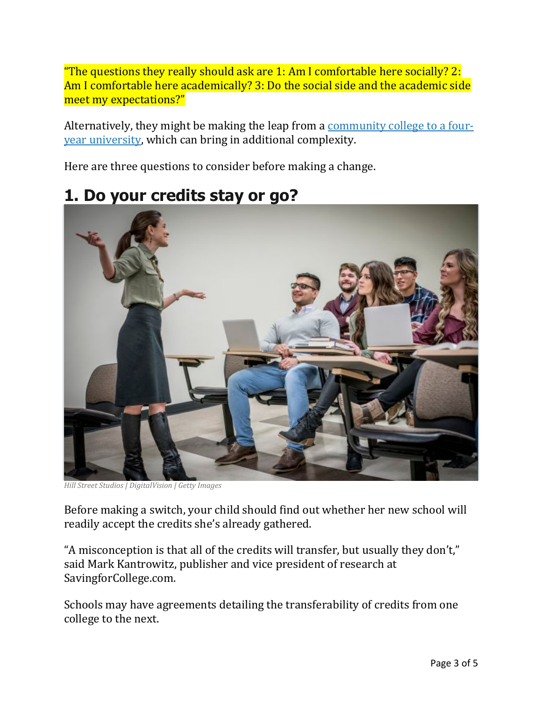"The questions they really should ask are 1: Am I comfortable here socially? 2: Am I comfortable here academically? 3: Do the social side and the academic side meet my expectations?"

Alternatively, they might be making the leap from a community college to a fouryear university, which can bring in additional complexity.

Here are three questions to consider before making a change.

### **1. Do your credits stay or go?**



*Hill Street Studios | DigitalVision | Getty Images*

Before making a switch, your child should find out whether her new school will readily accept the credits she's already gathered.

"A misconception is that all of the credits will transfer, but usually they don't," said Mark Kantrowitz, publisher and vice president of research at SavingforCollege.com.

Schools may have agreements detailing the transferability of credits from one college to the next.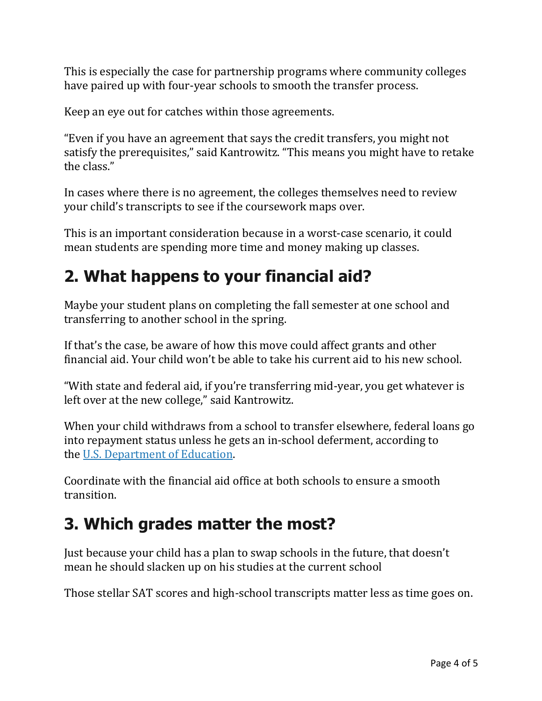This is especially the case for partnership programs where community colleges have paired up with four-year schools to smooth the transfer process.

Keep an eye out for catches within those agreements.

"Even if you have an agreement that says the credit transfers, you might not satisfy the prerequisites," said Kantrowitz. "This means you might have to retake the class."

In cases where there is no agreement, the colleges themselves need to review your child's transcripts to see if the coursework maps over.

This is an important consideration because in a worst-case scenario, it could mean students are spending more time and money making up classes.

# **2. What happens to your financial aid?**

Maybe your student plans on completing the fall semester at one school and transferring to another school in the spring.

If that's the case, be aware of how this move could affect grants and other financial aid. Your child won't be able to take his current aid to his new school.

"With state and federal aid, if you're transferring mid-year, you get whatever is left over at the new college," said Kantrowitz.

When your child withdraws from a school to transfer elsewhere, federal loans go into repayment status unless he gets an in-school deferment, according to the U.S. Department of Education.

Coordinate with the financial aid office at both schools to ensure a smooth transition.

# **3. Which grades matter the most?**

Just because your child has a plan to swap schools in the future, that doesn't mean he should slacken up on his studies at the current school

Those stellar SAT scores and high-school transcripts matter less as time goes on.